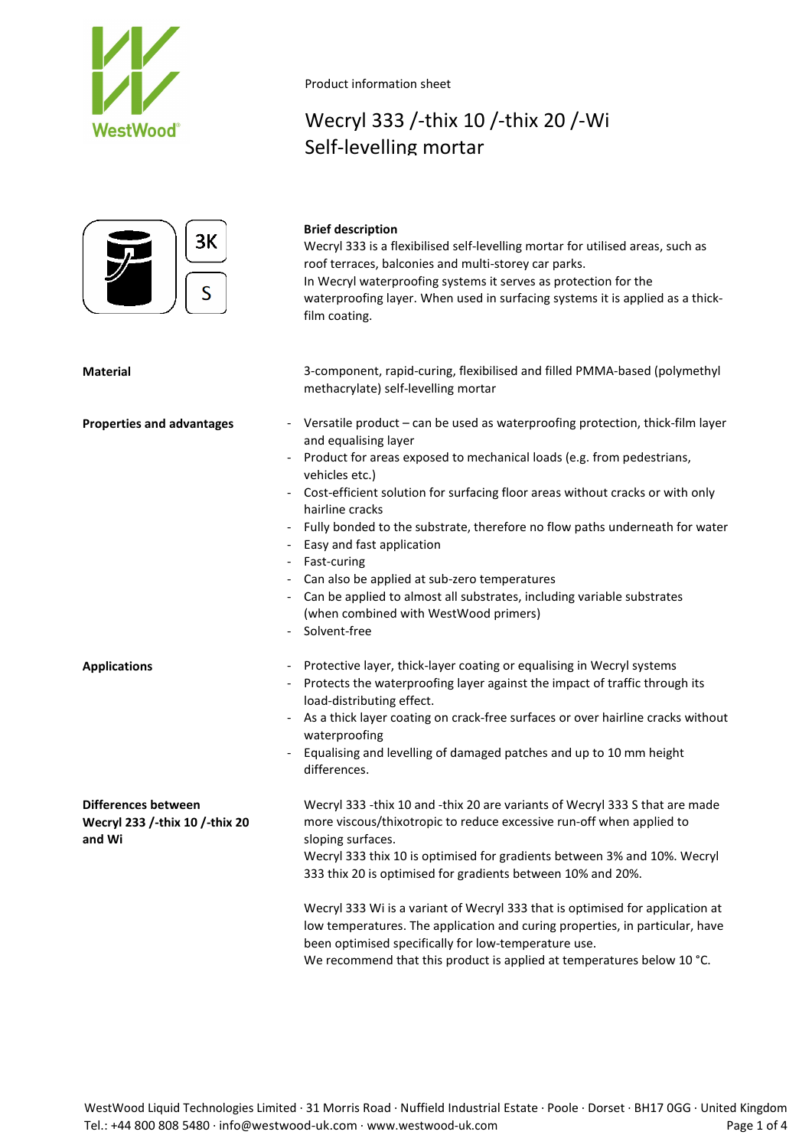



**Brief description** Wecryl 333 is a flexibilised self-levelling mortar for utilised areas, such as roof terraces, balconies and multi-storey car parks. In Wecryl waterproofing systems it serves as protection for the waterproofing layer. When used in surfacing systems it is applied as a thickfilm coating.

Wecryl 333 /-thix 10 /-thix 20 /-Wi

**Material** 3-component, rapid-curing, flexibilised and filled PMMA-based (polymethyl methacrylate) self-levelling mortar

- **Properties and advantages** Versatile product can be used as waterproofing protection, thick-film layer and equalising layer
	- Product for areas exposed to mechanical loads (e.g. from pedestrians, vehicles etc.)
	- Cost-efficient solution for surfacing floor areas without cracks or with only hairline cracks
	- Fully bonded to the substrate, therefore no flow paths underneath for water
	- Easy and fast application
	- Fast-curing
	- Can also be applied at sub-zero temperatures
	- Can be applied to almost all substrates, including variable substrates (when combined with WestWood primers)
	- Solvent-free
- **Applications** Protective layer, thick-layer coating or equalising in Wecryl systems
	- Protects the waterproofing layer against the impact of traffic through its load-distributing effect.
	- As a thick layer coating on crack-free surfaces or over hairline cracks without waterproofing
	- Equalising and levelling of damaged patches and up to 10 mm height differences.

**Differences between Wecryl 233 /-thix 10 /-thix 20 and Wi** Wecryl 333 -thix 10 and -thix 20 are variants of Wecryl 333 S that are made more viscous/thixotropic to reduce excessive run-off when applied to

sloping surfaces. Wecryl 333 thix 10 is optimised for gradients between 3% and 10%. Wecryl 333 thix 20 is optimised for gradients between 10% and 20%.

Wecryl 333 Wi is a variant of Wecryl 333 that is optimised for application at low temperatures. The application and curing properties, in particular, have been optimised specifically for low-temperature use.

We recommend that this product is applied at temperatures below 10 °C.

### Product information sheet

Self-levelling mortar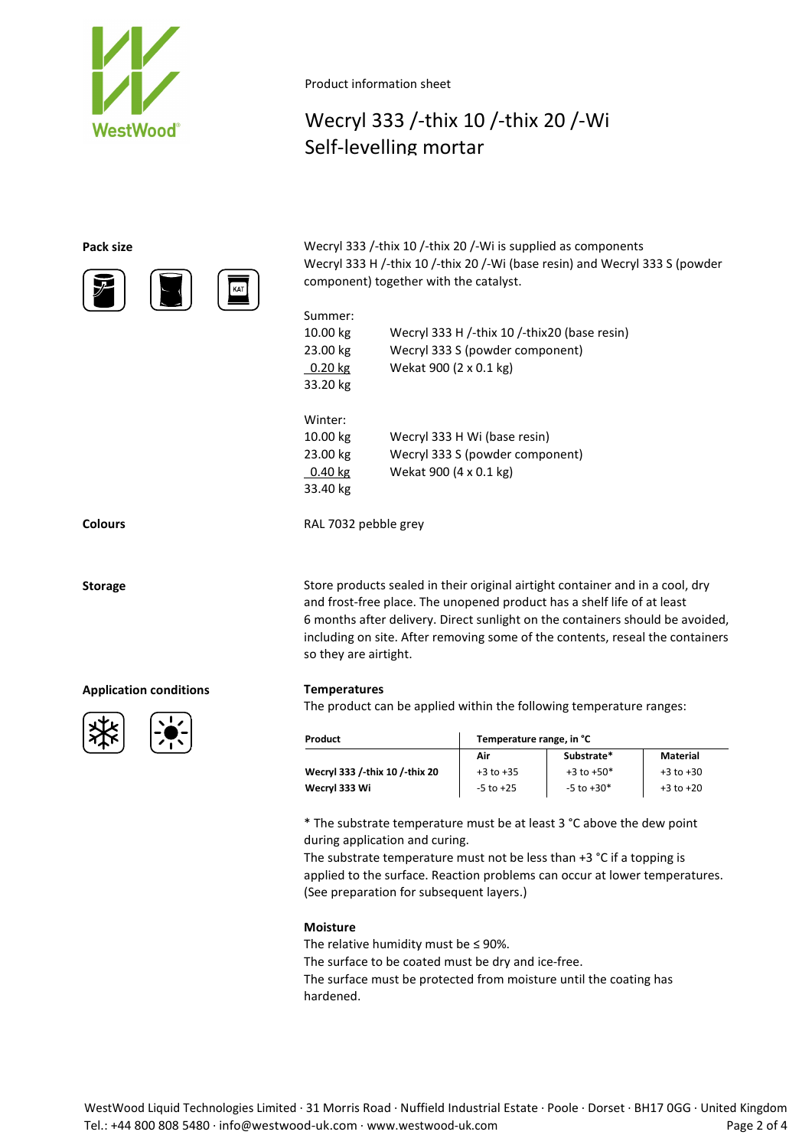

Product information sheet

# Wecryl 333 /-thix 10 /-thix 20 /-Wi Self-levelling mortar

KAT

| Pack size                                                                 | Wecryl 333 /-thix 10 /-thix 20 /-Wi is supplied as components               |
|---------------------------------------------------------------------------|-----------------------------------------------------------------------------|
|                                                                           | Wecryl 333 H /-thix 10 /-thix 20 /-Wi (base resin) and Wecryl 333 S (powder |
| $\bigcirc$<br>$\Box$<br>$\left[\overline{\overline{\mathsf{Kat}}}\right]$ | component) together with the catalyst.                                      |

| Summer:   |                                              |
|-----------|----------------------------------------------|
| 10.00 kg  | Wecryl 333 H /-thix 10 /-thix20 (base resin) |
| 23.00 kg  | Wecryl 333 S (powder component)              |
| $0.20$ kg | Wekat 900 (2 x 0.1 kg)                       |
| 33.20 kg  |                                              |
| Winter:   |                                              |
| 10.00 kg  | Wecryl 333 H Wi (base resin)                 |
| 23.00 kg  | Wecryl 333 S (powder component)              |
| $0.40$ kg | Wekat 900 (4 x 0.1 kg)                       |
| 33.40 kg  |                                              |
|           |                                              |

**Colours** RAL 7032 pebble grey

**Storage** Store products sealed in their original airtight container and in a cool, dry and frost-free place. The unopened product has a shelf life of at least 6 months after delivery. Direct sunlight on the containers should be avoided, including on site. After removing some of the contents, reseal the containers so they are airtight.

The product can be applied within the following temperature ranges:

| Product                        | Temperature range, in °C |                |               |  |  |  |
|--------------------------------|--------------------------|----------------|---------------|--|--|--|
|                                | Air                      | Substrate*     | Material      |  |  |  |
| Wecryl 333 /-thix 10 /-thix 20 | $+3$ to $+35$            | $+3$ to $+50*$ | $+3$ to $+30$ |  |  |  |
| Wecryl 333 Wi                  | $-5$ to $+25$            | $-5$ to $+30*$ | $+3$ to $+20$ |  |  |  |

\* The substrate temperature must be at least 3 °C above the dew point during application and curing.

The substrate temperature must not be less than +3 °C if a topping is applied to the surface. Reaction problems can occur at lower temperatures. (See preparation for subsequent layers.)

### **Moisture**

The relative humidity must be  $\leq$  90%. The surface to be coated must be dry and ice-free. The surface must be protected from moisture until the coating has hardened.

## **Application conditions Temperatures**



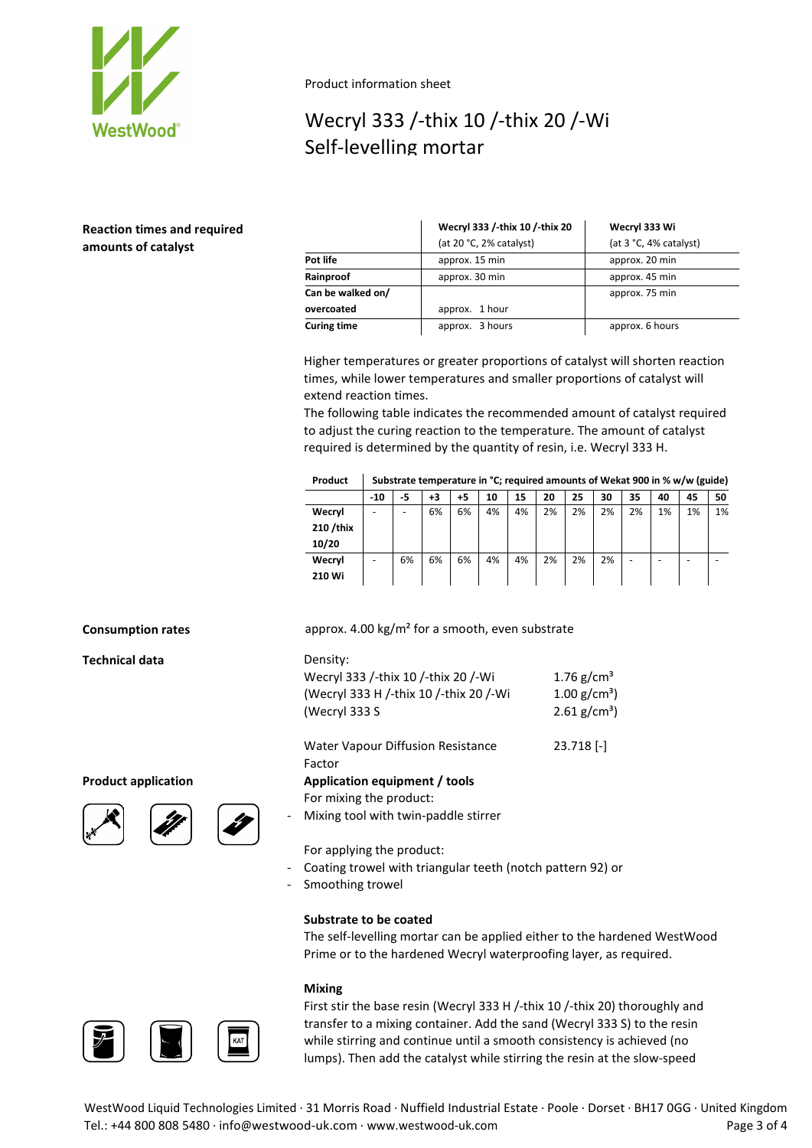

Product information sheet

# Wecryl 333 /-thix 10 /-thix 20 /-Wi Self-levelling mortar

## **Reaction times and required amounts of catalyst**

|                    | Wecryl 333 /-thix 10 /-thix 20 | Wecryl 333 Wi          |
|--------------------|--------------------------------|------------------------|
|                    | (at 20 °C, 2% catalyst)        | (at 3 °C, 4% catalyst) |
| Pot life           | approx. 15 min                 | approx. 20 min         |
| Rainproof          | approx. 30 min                 | approx. 45 min         |
| Can be walked on/  |                                | approx. 75 min         |
| overcoated         | approx. 1 hour                 |                        |
| <b>Curing time</b> | approx. 3 hours                | approx. 6 hours        |

Higher temperatures or greater proportions of catalyst will shorten reaction times, while lower temperatures and smaller proportions of catalyst will extend reaction times.

The following table indicates the recommended amount of catalyst required to adjust the curing reaction to the temperature. The amount of catalyst required is determined by the quantity of resin, i.e. Wecryl 333 H.

|  | Product   Substrate temperature in °C; required amounts of Wekat 900 in % w/w (guide) |
|--|---------------------------------------------------------------------------------------|
|--|---------------------------------------------------------------------------------------|

|          | $-10$ | -5 | +3 | +5 | 10 | 15 | 20 | 25 | 30 | 35 | 40 | 45 | 50 |
|----------|-------|----|----|----|----|----|----|----|----|----|----|----|----|
| Wecryl   |       | -  | 6% | 6% | 4% | 4% | 2% | 2% | 2% | 2% | 1% | 1% | 1% |
| 210/thix |       |    |    |    |    |    |    |    |    |    |    |    |    |
| 10/20    |       |    |    |    |    |    |    |    |    |    |    |    |    |
| Wecryl   |       | 6% | 6% | 6% | 4% | 4% | 2% | 2% | 2% | -  |    |    |    |
| 210 Wi   |       |    |    |    |    |    |    |    |    |    |    |    |    |

23.718 [-]

**Technical data** Density:





**Consumption rates** approx. 4.00 kg/m<sup>2</sup> for a smooth, even substrate

| DENSILV.                               |                            |
|----------------------------------------|----------------------------|
| Wecryl 333 /-thix 10 /-thix 20 /-Wi    | 1.76 $g/cm^{3}$            |
| (Wecryl 333 H /-thix 10 /-thix 20 /-Wi | $1.00 \text{ g/cm}^3$      |
| (Wecryl 333 S                          | $2.61$ g/cm <sup>3</sup> ) |
|                                        |                            |

Water Vapour Diffusion Resistance

Factor

### **Product application Application equipment / tools**

For mixing the product:

Mixing tool with twin-paddle stirrer

For applying the product:

- Coating trowel with triangular teeth (notch pattern 92) or
- Smoothing trowel

### **Substrate to be coated**

The self-levelling mortar can be applied either to the hardened WestWood Prime or to the hardened Wecryl waterproofing layer, as required.

### **Mixing**



First stir the base resin (Wecryl 333 H /-thix 10 /-thix 20) thoroughly and transfer to a mixing container. Add the sand (Wecryl 333 S) to the resin while stirring and continue until a smooth consistency is achieved (no lumps). Then add the catalyst while stirring the resin at the slow-speed

WestWood Liquid Technologies Limited · 31 Morris Road · Nuffield Industrial Estate · Poole · Dorset · BH17 0GG · United Kingdom Tel.: +44 800 808 5480 · info@westwood-uk.com · www.westwood-uk.com example a set the page 3 of 4